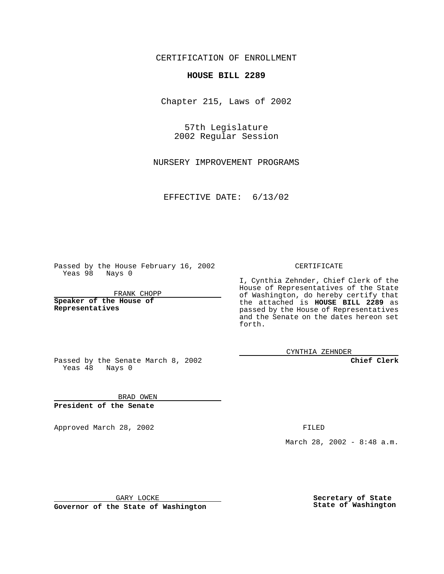CERTIFICATION OF ENROLLMENT

## **HOUSE BILL 2289**

Chapter 215, Laws of 2002

57th Legislature 2002 Regular Session

NURSERY IMPROVEMENT PROGRAMS

EFFECTIVE DATE: 6/13/02

Passed by the House February 16, 2002 Yeas 98 Nays 0

FRANK CHOPP

**Speaker of the House of Representatives**

CERTIFICATE

I, Cynthia Zehnder, Chief Clerk of the House of Representatives of the State of Washington, do hereby certify that the attached is **HOUSE BILL 2289** as passed by the House of Representatives and the Senate on the dates hereon set forth.

CYNTHIA ZEHNDER

**Chief Clerk**

Passed by the Senate March 8, 2002 Yeas  $48$  Nays 0

BRAD OWEN **President of the Senate**

Approved March 28, 2002 **FILED** 

March 28, 2002 - 8:48 a.m.

GARY LOCKE

**Governor of the State of Washington**

**Secretary of State State of Washington**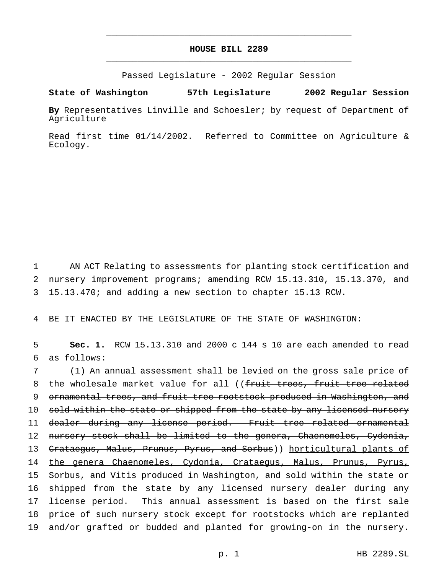## **HOUSE BILL 2289** \_\_\_\_\_\_\_\_\_\_\_\_\_\_\_\_\_\_\_\_\_\_\_\_\_\_\_\_\_\_\_\_\_\_\_\_\_\_\_\_\_\_\_\_\_\_\_

\_\_\_\_\_\_\_\_\_\_\_\_\_\_\_\_\_\_\_\_\_\_\_\_\_\_\_\_\_\_\_\_\_\_\_\_\_\_\_\_\_\_\_\_\_\_\_

Passed Legislature - 2002 Regular Session

## **State of Washington 57th Legislature 2002 Regular Session**

**By** Representatives Linville and Schoesler; by request of Department of Agriculture

Read first time 01/14/2002. Referred to Committee on Agriculture & Ecology.

1 AN ACT Relating to assessments for planting stock certification and 2 nursery improvement programs; amending RCW 15.13.310, 15.13.370, and 3 15.13.470; and adding a new section to chapter 15.13 RCW.

4 BE IT ENACTED BY THE LEGISLATURE OF THE STATE OF WASHINGTON:

5 **Sec. 1.** RCW 15.13.310 and 2000 c 144 s 10 are each amended to read 6 as follows:

7 (1) An annual assessment shall be levied on the gross sale price of 8 the wholesale market value for all ((fruit trees, fruit tree related 9 ornamental trees, and fruit tree rootstock produced in Washington, and 10 sold within the state or shipped from the state by any licensed nursery 11 dealer during any license period. Fruit tree related ornamental 12 nursery stock shall be limited to the genera, Chaenomeles, Cydonia, 13 <del>Crataegus, Malus, Prunus, Pyrus, and Sorbus</del>)) horticultural plants of 14 the genera Chaenomeles, Cydonia, Crataegus, Malus, Prunus, Pyrus, 15 Sorbus, and Vitis produced in Washington, and sold within the state or 16 shipped from the state by any licensed nursery dealer during any 17 license period. This annual assessment is based on the first sale 18 price of such nursery stock except for rootstocks which are replanted 19 and/or grafted or budded and planted for growing-on in the nursery.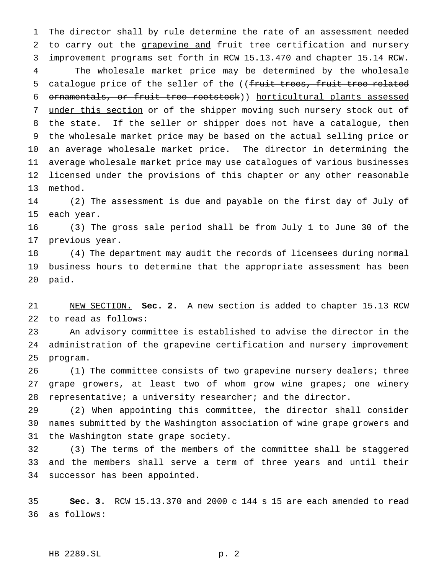The director shall by rule determine the rate of an assessment needed 2 to carry out the grapevine and fruit tree certification and nursery improvement programs set forth in RCW 15.13.470 and chapter 15.14 RCW.

 The wholesale market price may be determined by the wholesale 5 catalogue price of the seller of the ((fruit trees, fruit tree related ornamentals, or fruit tree rootstock)) horticultural plants assessed 7 under this section or of the shipper moving such nursery stock out of the state. If the seller or shipper does not have a catalogue, then the wholesale market price may be based on the actual selling price or an average wholesale market price. The director in determining the average wholesale market price may use catalogues of various businesses licensed under the provisions of this chapter or any other reasonable method.

 (2) The assessment is due and payable on the first day of July of each year.

 (3) The gross sale period shall be from July 1 to June 30 of the previous year.

 (4) The department may audit the records of licensees during normal business hours to determine that the appropriate assessment has been paid.

 NEW SECTION. **Sec. 2.** A new section is added to chapter 15.13 RCW to read as follows:

 An advisory committee is established to advise the director in the administration of the grapevine certification and nursery improvement program.

 (1) The committee consists of two grapevine nursery dealers; three grape growers, at least two of whom grow wine grapes; one winery representative; a university researcher; and the director.

 (2) When appointing this committee, the director shall consider names submitted by the Washington association of wine grape growers and the Washington state grape society.

 (3) The terms of the members of the committee shall be staggered and the members shall serve a term of three years and until their successor has been appointed.

 **Sec. 3.** RCW 15.13.370 and 2000 c 144 s 15 are each amended to read as follows:

## HB 2289.SL p. 2